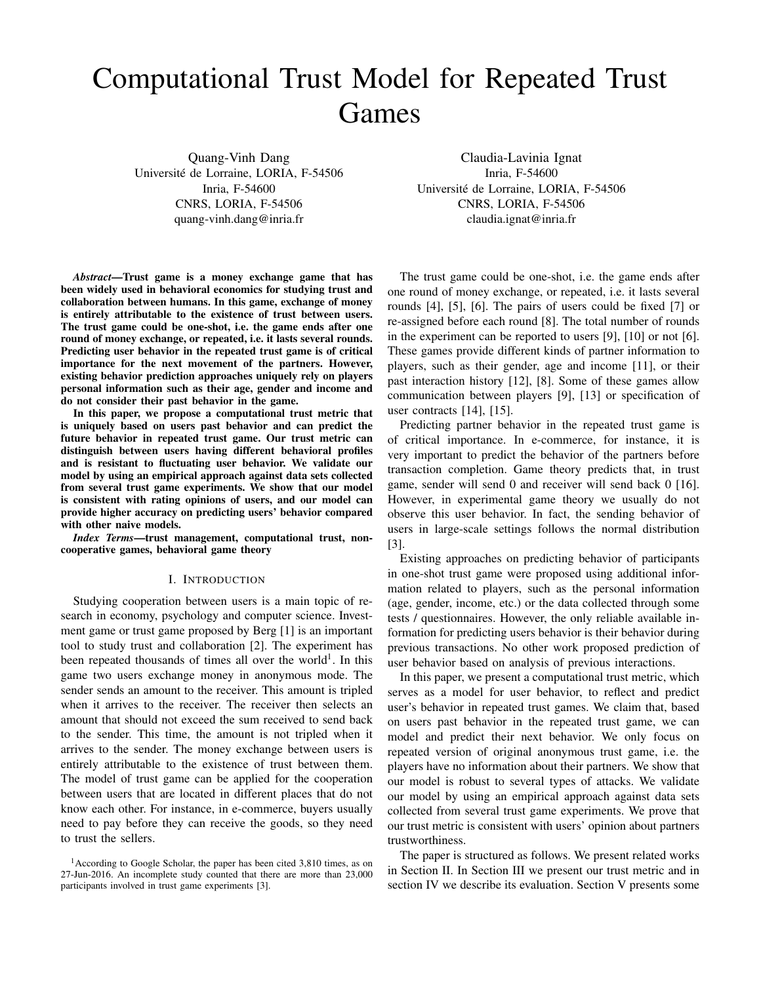# Computational Trust Model for Repeated Trust Games

Quang-Vinh Dang Universite de Lorraine, LORIA, F-54506 ´ Inria, F-54600 CNRS, LORIA, F-54506 quang-vinh.dang@inria.fr

*Abstract*—Trust game is a money exchange game that has been widely used in behavioral economics for studying trust and collaboration between humans. In this game, exchange of money is entirely attributable to the existence of trust between users. The trust game could be one-shot, i.e. the game ends after one round of money exchange, or repeated, i.e. it lasts several rounds. Predicting user behavior in the repeated trust game is of critical importance for the next movement of the partners. However, existing behavior prediction approaches uniquely rely on players personal information such as their age, gender and income and do not consider their past behavior in the game.

In this paper, we propose a computational trust metric that is uniquely based on users past behavior and can predict the future behavior in repeated trust game. Our trust metric can distinguish between users having different behavioral profiles and is resistant to fluctuating user behavior. We validate our model by using an empirical approach against data sets collected from several trust game experiments. We show that our model is consistent with rating opinions of users, and our model can provide higher accuracy on predicting users' behavior compared with other naive models.

*Index Terms*—trust management, computational trust, noncooperative games, behavioral game theory

### I. INTRODUCTION

Studying cooperation between users is a main topic of research in economy, psychology and computer science. Investment game or trust game proposed by Berg [1] is an important tool to study trust and collaboration [2]. The experiment has been repeated thousands of times all over the world<sup>1</sup>. In this game two users exchange money in anonymous mode. The sender sends an amount to the receiver. This amount is tripled when it arrives to the receiver. The receiver then selects an amount that should not exceed the sum received to send back to the sender. This time, the amount is not tripled when it arrives to the sender. The money exchange between users is entirely attributable to the existence of trust between them. The model of trust game can be applied for the cooperation between users that are located in different places that do not know each other. For instance, in e-commerce, buyers usually need to pay before they can receive the goods, so they need to trust the sellers.

Claudia-Lavinia Ignat Inria, F-54600 Universite de Lorraine, LORIA, F-54506 ´ CNRS, LORIA, F-54506 claudia.ignat@inria.fr

The trust game could be one-shot, i.e. the game ends after one round of money exchange, or repeated, i.e. it lasts several rounds [4], [5], [6]. The pairs of users could be fixed [7] or re-assigned before each round [8]. The total number of rounds in the experiment can be reported to users [9], [10] or not [6]. These games provide different kinds of partner information to players, such as their gender, age and income [11], or their past interaction history [12], [8]. Some of these games allow communication between players [9], [13] or specification of user contracts [14], [15].

Predicting partner behavior in the repeated trust game is of critical importance. In e-commerce, for instance, it is very important to predict the behavior of the partners before transaction completion. Game theory predicts that, in trust game, sender will send 0 and receiver will send back 0 [16]. However, in experimental game theory we usually do not observe this user behavior. In fact, the sending behavior of users in large-scale settings follows the normal distribution [3].

Existing approaches on predicting behavior of participants in one-shot trust game were proposed using additional information related to players, such as the personal information (age, gender, income, etc.) or the data collected through some tests / questionnaires. However, the only reliable available information for predicting users behavior is their behavior during previous transactions. No other work proposed prediction of user behavior based on analysis of previous interactions.

In this paper, we present a computational trust metric, which serves as a model for user behavior, to reflect and predict user's behavior in repeated trust games. We claim that, based on users past behavior in the repeated trust game, we can model and predict their next behavior. We only focus on repeated version of original anonymous trust game, i.e. the players have no information about their partners. We show that our model is robust to several types of attacks. We validate our model by using an empirical approach against data sets collected from several trust game experiments. We prove that our trust metric is consistent with users' opinion about partners trustworthiness.

The paper is structured as follows. We present related works in Section II. In Section III we present our trust metric and in section IV we describe its evaluation. Section V presents some

<sup>&</sup>lt;sup>1</sup> According to Google Scholar, the paper has been cited 3,810 times, as on 27-Jun-2016. An incomplete study counted that there are more than 23,000 participants involved in trust game experiments [3].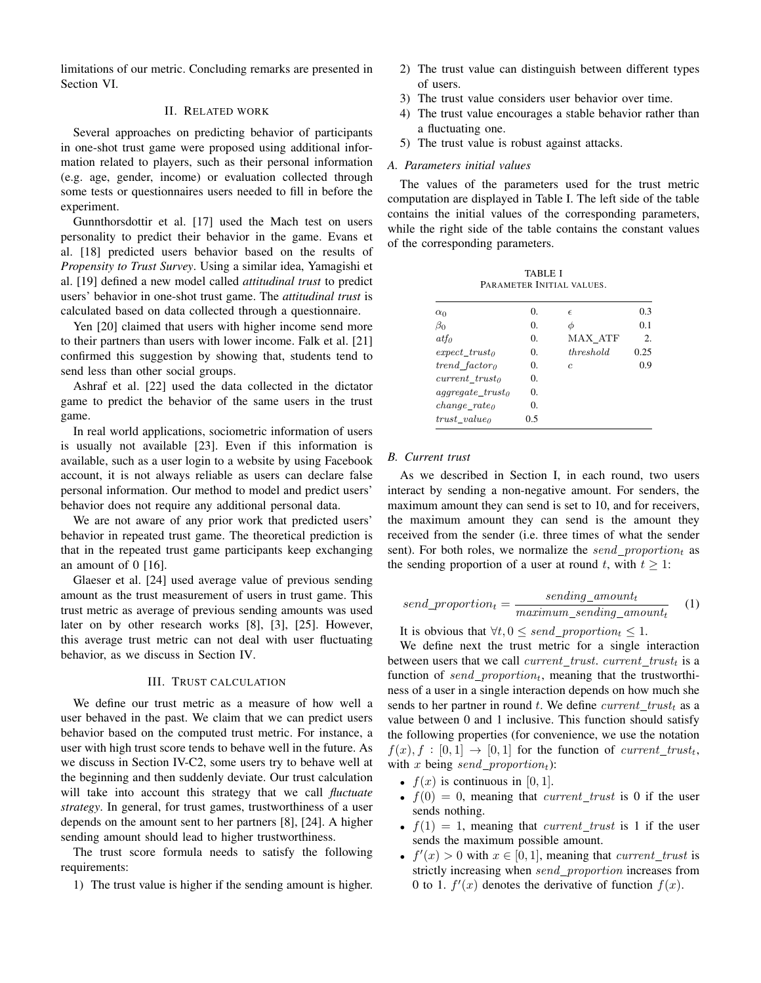limitations of our metric. Concluding remarks are presented in Section VI.

# II. RELATED WORK

Several approaches on predicting behavior of participants in one-shot trust game were proposed using additional information related to players, such as their personal information (e.g. age, gender, income) or evaluation collected through some tests or questionnaires users needed to fill in before the experiment.

Gunnthorsdottir et al. [17] used the Mach test on users personality to predict their behavior in the game. Evans et al. [18] predicted users behavior based on the results of *Propensity to Trust Survey*. Using a similar idea, Yamagishi et al. [19] defined a new model called *attitudinal trust* to predict users' behavior in one-shot trust game. The *attitudinal trust* is calculated based on data collected through a questionnaire.

Yen [20] claimed that users with higher income send more to their partners than users with lower income. Falk et al. [21] confirmed this suggestion by showing that, students tend to send less than other social groups.

Ashraf et al. [22] used the data collected in the dictator game to predict the behavior of the same users in the trust game.

In real world applications, sociometric information of users is usually not available [23]. Even if this information is available, such as a user login to a website by using Facebook account, it is not always reliable as users can declare false personal information. Our method to model and predict users' behavior does not require any additional personal data.

We are not aware of any prior work that predicted users' behavior in repeated trust game. The theoretical prediction is that in the repeated trust game participants keep exchanging an amount of 0 [16].

Glaeser et al. [24] used average value of previous sending amount as the trust measurement of users in trust game. This trust metric as average of previous sending amounts was used later on by other research works [8], [3], [25]. However, this average trust metric can not deal with user fluctuating behavior, as we discuss in Section IV.

# III. TRUST CALCULATION

We define our trust metric as a measure of how well a user behaved in the past. We claim that we can predict users behavior based on the computed trust metric. For instance, a user with high trust score tends to behave well in the future. As we discuss in Section IV-C2, some users try to behave well at the beginning and then suddenly deviate. Our trust calculation will take into account this strategy that we call *fluctuate strategy*. In general, for trust games, trustworthiness of a user depends on the amount sent to her partners [8], [24]. A higher sending amount should lead to higher trustworthiness.

The trust score formula needs to satisfy the following requirements:

1) The trust value is higher if the sending amount is higher.

- 2) The trust value can distinguish between different types of users.
- 3) The trust value considers user behavior over time.
- 4) The trust value encourages a stable behavior rather than a fluctuating one.
- 5) The trust value is robust against attacks.

#### *A. Parameters initial values*

The values of the parameters used for the trust metric computation are displayed in Table I. The left side of the table contains the initial values of the corresponding parameters, while the right side of the table contains the constant values of the corresponding parameters.

TABLE I PARAMETER INITIAL VALUES.

| $\alpha_0$                   | 0.  | $\epsilon$       | 0.3  |
|------------------------------|-----|------------------|------|
| $\beta_0$                    | 0.  | Φ                | 0.1  |
| atfo                         | 0.  | MAX ATF          | 2.   |
| $expect$ trust <sub>0</sub>  | 0.  | <i>threshold</i> | 0.25 |
| $trend\_factor_0$            | 0.  | C                | 0.9  |
| $current$ trust <sub>0</sub> | 0.  |                  |      |
| $aq\bar{q} \neq trust_0$     | 0.  |                  |      |
| $change\_rate_0$             | 0.  |                  |      |
| $trust\_value_0$             | 0.5 |                  |      |

# *B. Current trust*

As we described in Section I, in each round, two users interact by sending a non-negative amount. For senders, the maximum amount they can send is set to 10, and for receivers, the maximum amount they can send is the amount they received from the sender (i.e. three times of what the sender sent). For both roles, we normalize the send proportion, as the sending proportion of a user at round t, with  $t \geq 1$ :

$$
send\_proportion_t = \frac{scaling\_amount_t}{maximum\_sending\_amount_t} \quad (1)
$$

It is obvious that  $\forall t, 0 \leq send\_proportion_t \leq 1$ .

We define next the trust metric for a single interaction between users that we call *current\_trust. current\_trust<sub>t</sub>* is a function of  $send\_proportion_t$ , meaning that the trustworthiness of a user in a single interaction depends on how much she sends to her partner in round t. We define  $current\_trust_t$  as a value between 0 and 1 inclusive. This function should satisfy the following properties (for convenience, we use the notation  $f(x), f : [0,1] \rightarrow [0,1]$  for the function of *current\_trust<sub>t</sub>*, with x being  $send\_proportion_t$ ):

- $f(x)$  is continuous in [0, 1].
- $f(0) = 0$ , meaning that *current\_trust* is 0 if the user sends nothing.
- $f(1) = 1$ , meaning that *current\_trust* is 1 if the user sends the maximum possible amount.
- $f'(x) > 0$  with  $x \in [0, 1]$ , meaning that *current\_trust* is strictly increasing when send\_proportion increases from 0 to 1.  $f'(x)$  denotes the derivative of function  $f(x)$ .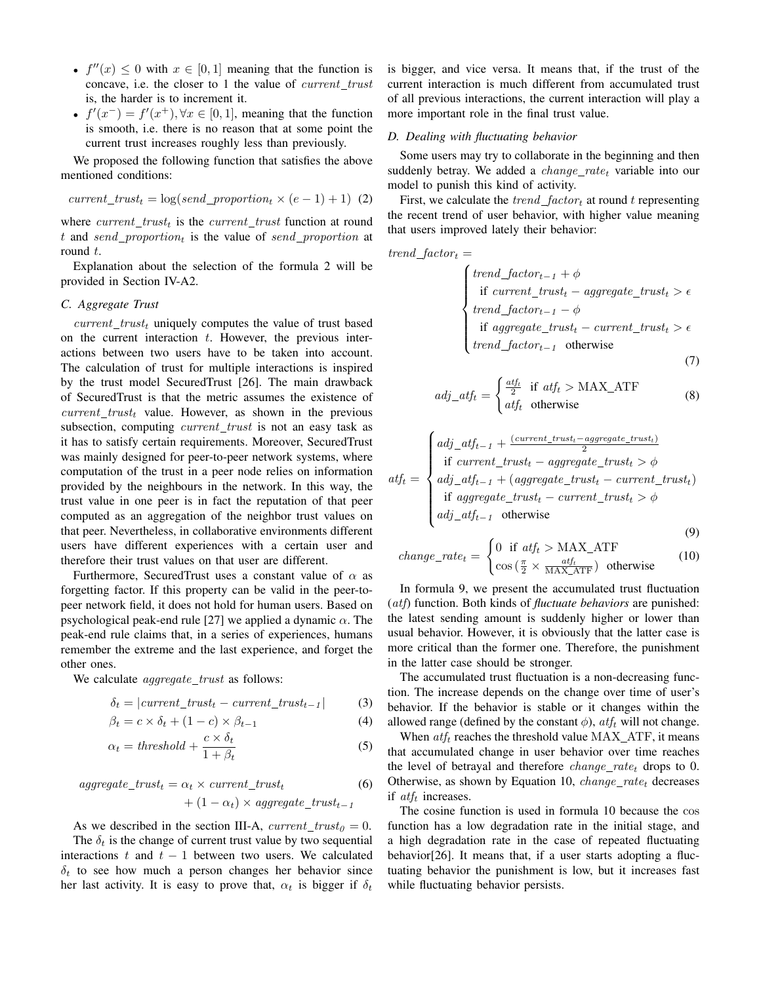- $f''(x) \leq 0$  with  $x \in [0,1]$  meaning that the function is concave, i.e. the closer to 1 the value of current trust is, the harder is to increment it.
- $f'(x^{-}) = f'(x^{+}), \forall x \in [0, 1]$ , meaning that the function is smooth, i.e. there is no reason that at some point the current trust increases roughly less than previously.

We proposed the following function that satisfies the above mentioned conditions:

$$
current\_trust_t = \log(send\_proportion_t \times (e - 1) + 1) \tag{2}
$$

where  $current\_trust_t$  is the  $current\_trust$  function at round t and send\_proportion<sub>t</sub> is the value of send\_proportion at round t.

Explanation about the selection of the formula 2 will be provided in Section IV-A2.

# *C. Aggregate Trust*

 $current\_trust_t$  uniquely computes the value of trust based on the current interaction  $t$ . However, the previous interactions between two users have to be taken into account. The calculation of trust for multiple interactions is inspired by the trust model SecuredTrust [26]. The main drawback of SecuredTrust is that the metric assumes the existence of  $current$  trust<sub>t</sub> value. However, as shown in the previous subsection, computing *current\_trust* is not an easy task as it has to satisfy certain requirements. Moreover, SecuredTrust was mainly designed for peer-to-peer network systems, where computation of the trust in a peer node relies on information provided by the neighbours in the network. In this way, the trust value in one peer is in fact the reputation of that peer computed as an aggregation of the neighbor trust values on that peer. Nevertheless, in collaborative environments different users have different experiences with a certain user and therefore their trust values on that user are different.

Furthermore, SecuredTrust uses a constant value of  $\alpha$  as forgetting factor. If this property can be valid in the peer-topeer network field, it does not hold for human users. Based on psychological peak-end rule [27] we applied a dynamic  $\alpha$ . The peak-end rule claims that, in a series of experiences, humans remember the extreme and the last experience, and forget the other ones.

We calculate  $aggregate\_trust$  as follows:

$$
\delta_t = |current\_trust_t - current\_trust_{t-1}| \tag{3}
$$

$$
\beta_t = c \times \delta_t + (1 - c) \times \beta_{t-1} \tag{4}
$$

$$
\alpha_t = threshold + \frac{c \times \delta_t}{1 + \beta_t} \tag{5}
$$

$$
aggregate\_trust_t = \alpha_t \times current\_trust_t
$$
  
+ (1 - \alpha\_t) \times aggregate\\_trust\_{t-1} (6)

As we described in the section III-A,  $current\_trust_0 = 0$ . The  $\delta_t$  is the change of current trust value by two sequential interactions t and  $t - 1$  between two users. We calculated  $\delta_t$  to see how much a person changes her behavior since her last activity. It is easy to prove that,  $\alpha_t$  is bigger if  $\delta_t$  is bigger, and vice versa. It means that, if the trust of the current interaction is much different from accumulated trust of all previous interactions, the current interaction will play a more important role in the final trust value.

# *D. Dealing with fluctuating behavior*

Some users may try to collaborate in the beginning and then suddenly betray. We added a *change\_rate<sub>t</sub>* variable into our model to punish this kind of activity.

First, we calculate the *trend*  $factor_t$  at round t representing the recent trend of user behavior, with higher value meaning that users improved lately their behavior:

 $trend\_factor_t =$ 

$$
\begin{cases}\n\text{trend\_factor}_{t-1} + \phi \\
\text{if current\_trust}_t - \text{aggregate\_trust}_t > \epsilon \\
\text{trend\_factor}_{t-1} - \phi \\
\text{if aggregate\_trust}_t - \text{current\_trust}_t > \epsilon \\
\text{trend\_factor}_{t-1} & \text{otherwise}\n\end{cases}
$$
\n
$$
\tag{7}
$$

$$
adj\_atf_t = \begin{cases} \frac{atf_t}{2} & \text{if } atf_t > \text{MAX\_ATF} \\ atf_t & \text{otherwise} \end{cases}
$$
 (8)

$$
atf_t = \begin{cases} adj\_atf_{t-1} + \frac{(current\_trust_t - aggregate\_trust_t)}{2} \\ \text{if } current\_trust_t - aggregate\_trust_t > \phi \\ adj\_atf_{t-1} + (aggregate\_trust_t - current\_trust_t) \\ \text{if } aggregate\_trust_t - current\_trust_t > \phi \\ adj\_atf_{t-1} \quad \text{otherwise} \end{cases}
$$

$$
- (9)
$$

$$
change\_rate_t = \begin{cases} 0 & \text{if } atf_t > \text{MAX\_ATF} \\ \cos\left(\frac{\pi}{2} \times \frac{atf_t}{\text{MAX\_ATF}}\right) & \text{otherwise} \end{cases} \tag{10}
$$

In formula 9, we present the accumulated trust fluctuation (atf) function. Both kinds of *fluctuate behaviors* are punished: the latest sending amount is suddenly higher or lower than usual behavior. However, it is obviously that the latter case is more critical than the former one. Therefore, the punishment in the latter case should be stronger.

The accumulated trust fluctuation is a non-decreasing function. The increase depends on the change over time of user's behavior. If the behavior is stable or it changes within the allowed range (defined by the constant  $\phi$ ),  $\alpha t f_t$  will not change.

When  $atf_t$  reaches the threshold value MAX ATF, it means that accumulated change in user behavior over time reaches the level of betrayal and therefore  $change\_rate_t$  drops to 0. Otherwise, as shown by Equation 10,  $change\_rate_t$  decreases if  $\alpha t f_t$  increases.

The cosine function is used in formula 10 because the cos function has a low degradation rate in the initial stage, and a high degradation rate in the case of repeated fluctuating behavior[26]. It means that, if a user starts adopting a fluctuating behavior the punishment is low, but it increases fast while fluctuating behavior persists.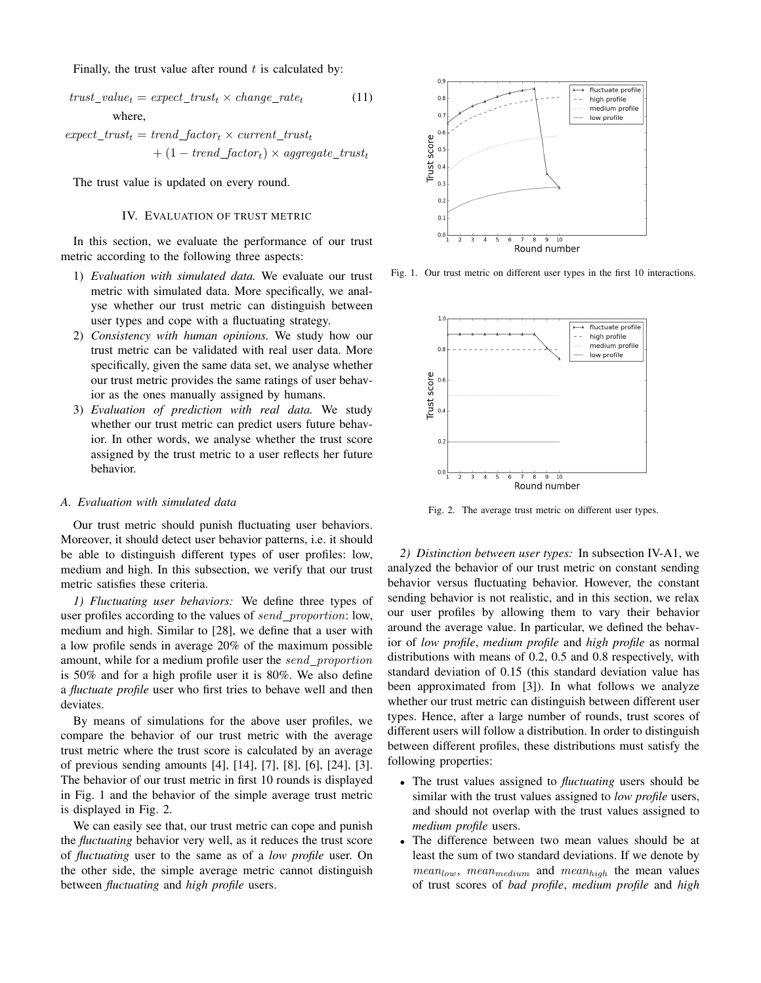Finally, the trust value after round  $t$  is calculated by:

$$
trust\_value_t = expect\_trust_t \times change\_rate_t
$$
 (11)  
where,

$$
expect\_trust_t = trend\_factor_t \times current\_trust_t
$$

$$
+ (1 - trend\_factor_t) \times aggregate\_trust_t
$$

The trust value is updated on every round.

#### IV. EVALUATION OF TRUST METRIC

In this section, we evaluate the performance of our trust metric according to the following three aspects:

- 1) *Evaluation with simulated data.* We evaluate our trust metric with simulated data. More specifically, we analyse whether our trust metric can distinguish between user types and cope with a fluctuating strategy.
- 2) *Consistency with human opinions.* We study how our trust metric can be validated with real user data. More specifically, given the same data set, we analyse whether our trust metric provides the same ratings of user behavior as the ones manually assigned by humans.
- 3) *Evaluation of prediction with real data.* We study whether our trust metric can predict users future behavior. In other words, we analyse whether the trust score assigned by the trust metric to a user reflects her future behavior.

### *A. Evaluation with simulated data*

Our trust metric should punish fluctuating user behaviors. Moreover, it should detect user behavior patterns, i.e. it should be able to distinguish different types of user profiles: low, medium and high. In this subsection, we verify that our trust metric satisfies these criteria.

*1) Fluctuating user behaviors:* We define three types of user profiles according to the values of send proportion: low, medium and high. Similar to [28], we define that a user with a low profile sends in average 20% of the maximum possible amount, while for a medium profile user the send\_proportion is 50% and for a high profile user it is 80%. We also define a *fluctuate profile* user who first tries to behave well and then deviates.

By means of simulations for the above user profiles, we compare the behavior of our trust metric with the average trust metric where the trust score is calculated by an average of previous sending amounts [4], [14], [7], [8], [6], [24], [3]. The behavior of our trust metric in first 10 rounds is displayed in Fig. 1 and the behavior of the simple average trust metric is displayed in Fig. 2.

We can easily see that, our trust metric can cope and punish the *fluctuating* behavior very well, as it reduces the trust score of *fluctuating* user to the same as of a *low profile* user. On the other side, the simple average metric cannot distinguish between *fluctuating* and *high profile* users.



Fig. 1. Our trust metric on different user types in the first 10 interactions.



Fig. 2. The average trust metric on different user types.

*2) Distinction between user types:* In subsection IV-A1, we analyzed the behavior of our trust metric on constant sending behavior versus fluctuating behavior. However, the constant sending behavior is not realistic, and in this section, we relax our user profiles by allowing them to vary their behavior around the average value. In particular, we defined the behavior of *low profile*, *medium profile* and *high profile* as normal distributions with means of 0.2, 0.5 and 0.8 respectively, with standard deviation of 0.15 (this standard deviation value has been approximated from [3]). In what follows we analyze whether our trust metric can distinguish between different user types. Hence, after a large number of rounds, trust scores of different users will follow a distribution. In order to distinguish between different profiles, these distributions must satisfy the following properties:

- The trust values assigned to *fluctuating* users should be similar with the trust values assigned to *low profile* users, and should not overlap with the trust values assigned to *medium profile* users.
- The difference between two mean values should be at least the sum of two standard deviations. If we denote by  $mean_{low}$ ,  $mean_{medium}$  and  $mean_{high}$  the mean values of trust scores of *bad profile*, *medium profile* and *high*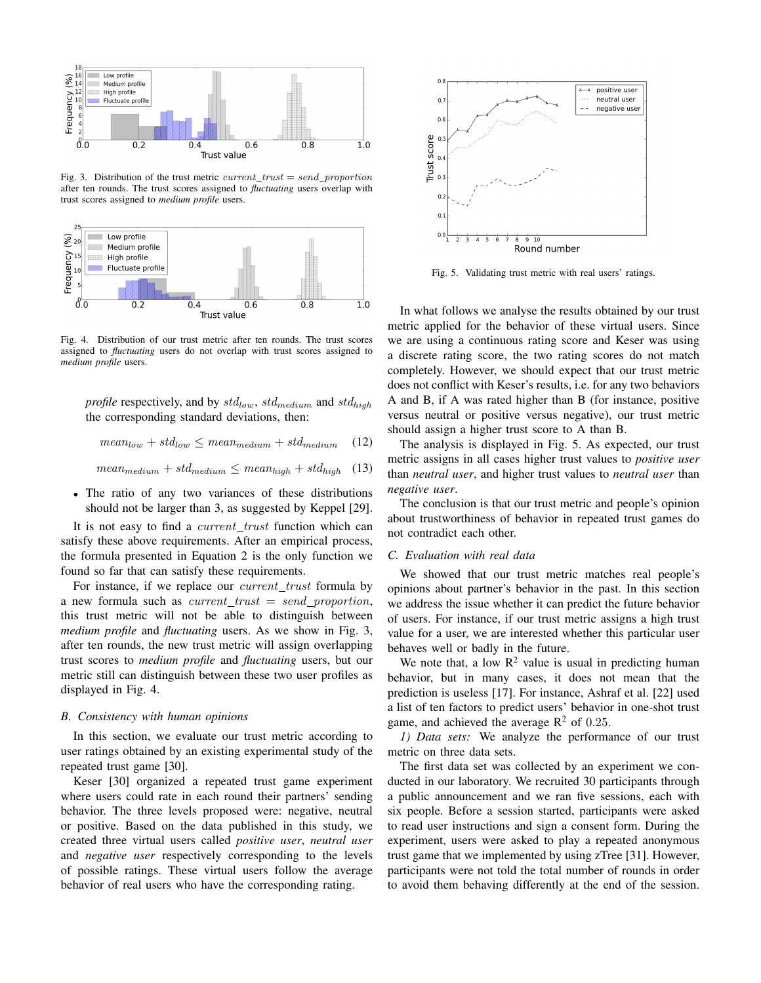

Fig. 3. Distribution of the trust metric current trust = send\_proportion after ten rounds. The trust scores assigned to *fluctuating* users overlap with trust scores assigned to *medium profile* users.



Fig. 4. Distribution of our trust metric after ten rounds. The trust scores assigned to *fluctuating* users do not overlap with trust scores assigned to *medium profile* users.

*profile* respectively, and by  $std_{low}$ ,  $std_{medium}$  and  $std_{high}$ the corresponding standard deviations, then:

$$
mean_{low} + std_{low} \leq mean_{medium} + std_{medium} \quad (12)
$$

 $mean_{medium} + std_{medium} \leq mean_{high} + std_{high}$  (13)

• The ratio of any two variances of these distributions should not be larger than 3, as suggested by Keppel [29].

It is not easy to find a *current\_trust* function which can satisfy these above requirements. After an empirical process, the formula presented in Equation 2 is the only function we found so far that can satisfy these requirements.

For instance, if we replace our *current trust* formula by a new formula such as  $current\_trust = send\_proportion$ , this trust metric will not be able to distinguish between *medium profile* and *fluctuating* users. As we show in Fig. 3, after ten rounds, the new trust metric will assign overlapping trust scores to *medium profile* and *fluctuating* users, but our metric still can distinguish between these two user profiles as displayed in Fig. 4.

# *B. Consistency with human opinions*

In this section, we evaluate our trust metric according to user ratings obtained by an existing experimental study of the repeated trust game [30].

Keser [30] organized a repeated trust game experiment where users could rate in each round their partners' sending behavior. The three levels proposed were: negative, neutral or positive. Based on the data published in this study, we created three virtual users called *positive user*, *neutral user* and *negative user* respectively corresponding to the levels of possible ratings. These virtual users follow the average behavior of real users who have the corresponding rating.



Fig. 5. Validating trust metric with real users' ratings.

In what follows we analyse the results obtained by our trust metric applied for the behavior of these virtual users. Since we are using a continuous rating score and Keser was using a discrete rating score, the two rating scores do not match completely. However, we should expect that our trust metric does not conflict with Keser's results, i.e. for any two behaviors A and B, if A was rated higher than B (for instance, positive versus neutral or positive versus negative), our trust metric should assign a higher trust score to A than B.

The analysis is displayed in Fig. 5. As expected, our trust metric assigns in all cases higher trust values to *positive user* than *neutral user*, and higher trust values to *neutral user* than *negative user*.

The conclusion is that our trust metric and people's opinion about trustworthiness of behavior in repeated trust games do not contradict each other.

#### *C. Evaluation with real data*

We showed that our trust metric matches real people's opinions about partner's behavior in the past. In this section we address the issue whether it can predict the future behavior of users. For instance, if our trust metric assigns a high trust value for a user, we are interested whether this particular user behaves well or badly in the future.

We note that, a low  $\mathbb{R}^2$  value is usual in predicting human behavior, but in many cases, it does not mean that the prediction is useless [17]. For instance, Ashraf et al. [22] used a list of ten factors to predict users' behavior in one-shot trust game, and achieved the average  $\mathbb{R}^2$  of 0.25.

*1) Data sets:* We analyze the performance of our trust metric on three data sets.

The first data set was collected by an experiment we conducted in our laboratory. We recruited 30 participants through a public announcement and we ran five sessions, each with six people. Before a session started, participants were asked to read user instructions and sign a consent form. During the experiment, users were asked to play a repeated anonymous trust game that we implemented by using zTree [31]. However, participants were not told the total number of rounds in order to avoid them behaving differently at the end of the session.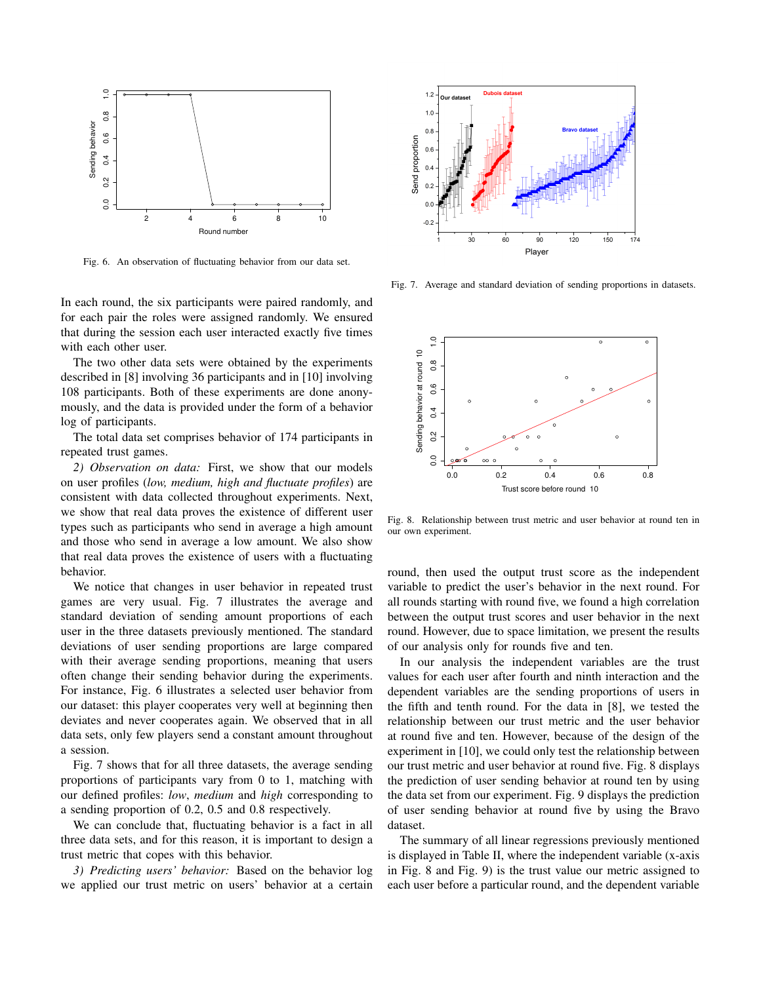

Fig. 6. An observation of fluctuating behavior from our data set.

In each round, the six participants were paired randomly, and for each pair the roles were assigned randomly. We ensured that during the session each user interacted exactly five times with each other user.

The two other data sets were obtained by the experiments described in [8] involving 36 participants and in [10] involving 108 participants. Both of these experiments are done anonymously, and the data is provided under the form of a behavior log of participants.

The total data set comprises behavior of 174 participants in repeated trust games.

*2) Observation on data:* First, we show that our models on user profiles (*low, medium, high and fluctuate profiles*) are consistent with data collected throughout experiments. Next, we show that real data proves the existence of different user types such as participants who send in average a high amount and those who send in average a low amount. We also show that real data proves the existence of users with a fluctuating behavior.

We notice that changes in user behavior in repeated trust games are very usual. Fig. 7 illustrates the average and standard deviation of sending amount proportions of each user in the three datasets previously mentioned. The standard deviations of user sending proportions are large compared with their average sending proportions, meaning that users often change their sending behavior during the experiments. For instance, Fig. 6 illustrates a selected user behavior from our dataset: this player cooperates very well at beginning then deviates and never cooperates again. We observed that in all data sets, only few players send a constant amount throughout a session.

Fig. 7 shows that for all three datasets, the average sending proportions of participants vary from 0 to 1, matching with our defined profiles: *low*, *medium* and *high* corresponding to a sending proportion of 0.2, 0.5 and 0.8 respectively.

We can conclude that, fluctuating behavior is a fact in all three data sets, and for this reason, it is important to design a trust metric that copes with this behavior.

*3) Predicting users' behavior:* Based on the behavior log we applied our trust metric on users' behavior at a certain



Fig. 7. Average and standard deviation of sending proportions in datasets.



Fig. 8. Relationship between trust metric and user behavior at round ten in our own experiment.

round, then used the output trust score as the independent variable to predict the user's behavior in the next round. For all rounds starting with round five, we found a high correlation between the output trust scores and user behavior in the next round. However, due to space limitation, we present the results of our analysis only for rounds five and ten.

In our analysis the independent variables are the trust values for each user after fourth and ninth interaction and the dependent variables are the sending proportions of users in the fifth and tenth round. For the data in [8], we tested the relationship between our trust metric and the user behavior at round five and ten. However, because of the design of the experiment in [10], we could only test the relationship between our trust metric and user behavior at round five. Fig. 8 displays the prediction of user sending behavior at round ten by using the data set from our experiment. Fig. 9 displays the prediction of user sending behavior at round five by using the Bravo dataset.

The summary of all linear regressions previously mentioned is displayed in Table II, where the independent variable (x-axis in Fig. 8 and Fig. 9) is the trust value our metric assigned to each user before a particular round, and the dependent variable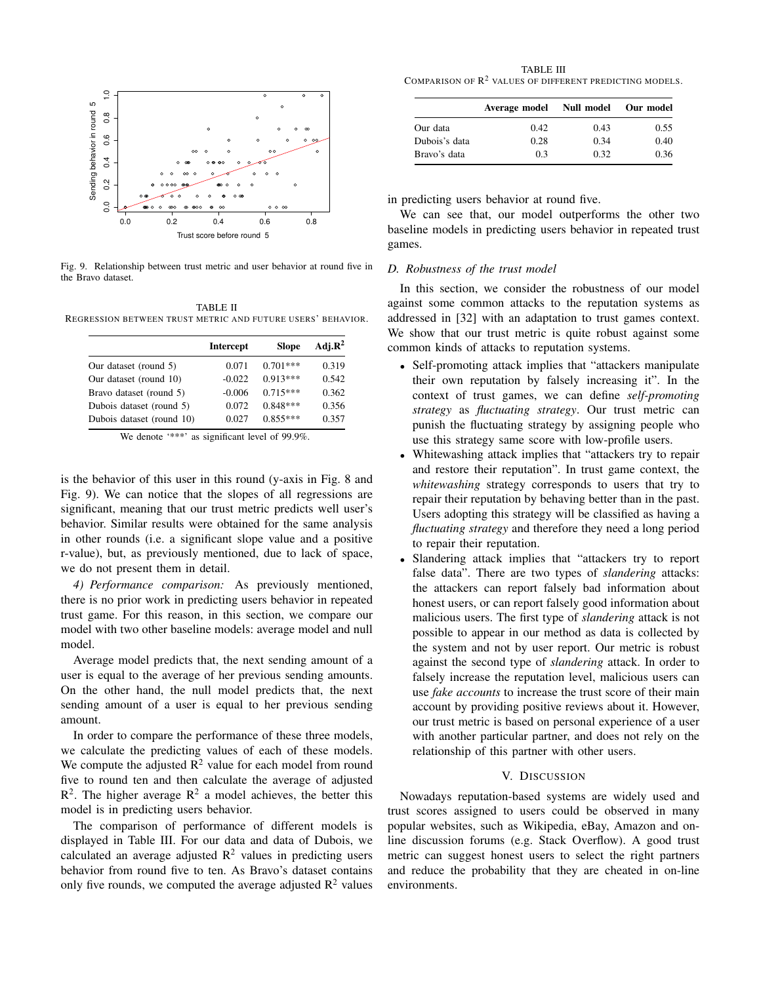

Fig. 9. Relationship between trust metric and user behavior at round five in the Bravo dataset.

TABLE II REGRESSION BETWEEN TRUST METRIC AND FUTURE USERS' BEHAVIOR.

|                           | <b>Intercept</b> | <b>Slope</b> | Adj. $\mathbb{R}^2$ |
|---------------------------|------------------|--------------|---------------------|
| Our dataset (round 5)     | 0.071            | $0.701***$   | 0.319               |
| Our dataset (round 10)    | $-0.022$         | $0.913***$   | 0.542               |
| Bravo dataset (round 5)   | $-0.006$         | $0.715***$   | 0.362               |
| Dubois dataset (round 5)  | 0.072            | $0.848***$   | 0.356               |
| Dubois dataset (round 10) | 0.027            | $0.855***$   | 0.357               |

We denote '\*\*\*' as significant level of 99.9%.

is the behavior of this user in this round (y-axis in Fig. 8 and Fig. 9). We can notice that the slopes of all regressions are significant, meaning that our trust metric predicts well user's behavior. Similar results were obtained for the same analysis in other rounds (i.e. a significant slope value and a positive r-value), but, as previously mentioned, due to lack of space, we do not present them in detail.

*4) Performance comparison:* As previously mentioned, there is no prior work in predicting users behavior in repeated trust game. For this reason, in this section, we compare our model with two other baseline models: average model and null model.

Average model predicts that, the next sending amount of a user is equal to the average of her previous sending amounts. On the other hand, the null model predicts that, the next sending amount of a user is equal to her previous sending amount.

In order to compare the performance of these three models, we calculate the predicting values of each of these models. We compute the adjusted  $\overline{R}^2$  value for each model from round five to round ten and then calculate the average of adjusted  $R<sup>2</sup>$ . The higher average  $R<sup>2</sup>$  a model achieves, the better this model is in predicting users behavior.

The comparison of performance of different models is displayed in Table III. For our data and data of Dubois, we calculated an average adjusted  $R^2$  values in predicting users behavior from round five to ten. As Bravo's dataset contains only five rounds, we computed the average adjusted  $\mathbb{R}^2$  values

TABLE III COMPARISON OF  $\mathbb{R}^2$  values of different predicting models.

|               | Average model  | Null model | Our model |
|---------------|----------------|------------|-----------|
| Our data      | 0.42           | 0.43       | 0.55      |
| Dubois's data | 0.28           | 0.34       | 0.40      |
| Bravo's data  | 0 <sup>3</sup> | 0.32       | 0.36      |

in predicting users behavior at round five.

We can see that, our model outperforms the other two baseline models in predicting users behavior in repeated trust games.

# *D. Robustness of the trust model*

In this section, we consider the robustness of our model against some common attacks to the reputation systems as addressed in [32] with an adaptation to trust games context. We show that our trust metric is quite robust against some common kinds of attacks to reputation systems.

- Self-promoting attack implies that "attackers manipulate their own reputation by falsely increasing it". In the context of trust games, we can define *self-promoting strategy* as *fluctuating strategy*. Our trust metric can punish the fluctuating strategy by assigning people who use this strategy same score with low-profile users.
- Whitewashing attack implies that "attackers try to repair and restore their reputation". In trust game context, the *whitewashing* strategy corresponds to users that try to repair their reputation by behaving better than in the past. Users adopting this strategy will be classified as having a *fluctuating strategy* and therefore they need a long period to repair their reputation.
- Slandering attack implies that "attackers try to report false data". There are two types of *slandering* attacks: the attackers can report falsely bad information about honest users, or can report falsely good information about malicious users. The first type of *slandering* attack is not possible to appear in our method as data is collected by the system and not by user report. Our metric is robust against the second type of *slandering* attack. In order to falsely increase the reputation level, malicious users can use *fake accounts* to increase the trust score of their main account by providing positive reviews about it. However, our trust metric is based on personal experience of a user with another particular partner, and does not rely on the relationship of this partner with other users.

# V. DISCUSSION

Nowadays reputation-based systems are widely used and trust scores assigned to users could be observed in many popular websites, such as Wikipedia, eBay, Amazon and online discussion forums (e.g. Stack Overflow). A good trust metric can suggest honest users to select the right partners and reduce the probability that they are cheated in on-line environments.